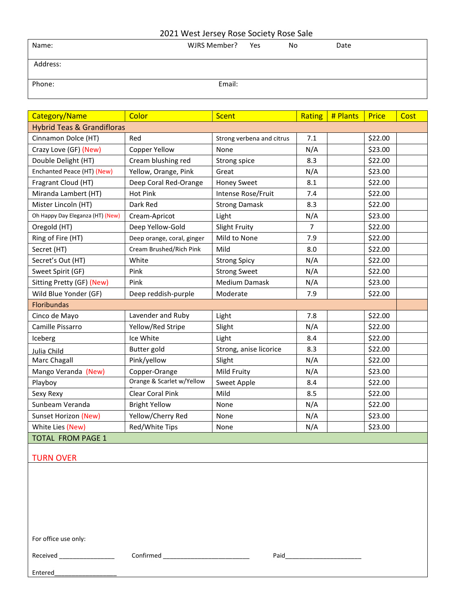## 2021 West Jersey Rose Society Rose Sale

| Name:    | WJRS Member? Yes | <b>No</b> | Date |
|----------|------------------|-----------|------|
| Address: |                  |           |      |
| Phone:   | Email:           |           |      |

| Category/Name                         | Color                      | <b>Scent</b>              | Rating         | # Plants | <b>Price</b> | Cost |
|---------------------------------------|----------------------------|---------------------------|----------------|----------|--------------|------|
| <b>Hybrid Teas &amp; Grandifloras</b> |                            |                           |                |          |              |      |
| Cinnamon Dolce (HT)                   | Red                        | Strong verbena and citrus | 7.1            |          | \$22.00      |      |
| Crazy Love (GF) (New)                 | Copper Yellow              | None                      | N/A            |          | \$23.00      |      |
| Double Delight (HT)                   | Cream blushing red         | Strong spice              | 8.3            |          | \$22.00      |      |
| Enchanted Peace (HT) (New)            | Yellow, Orange, Pink       | Great                     | N/A            |          | \$23.00      |      |
| Fragrant Cloud (HT)                   | Deep Coral Red-Orange      | <b>Honey Sweet</b>        | 8.1            |          | \$22.00      |      |
| Miranda Lambert (HT)                  | <b>Hot Pink</b>            | Intense Rose/Fruit        | 7.4            |          | \$22.00      |      |
| Mister Lincoln (HT)                   | Dark Red                   | <b>Strong Damask</b>      | 8.3            |          | \$22.00      |      |
| Oh Happy Day Eleganza (HT) (New)      | Cream-Apricot              | Light                     | N/A            |          | \$23.00      |      |
| Oregold (HT)                          | Deep Yellow-Gold           | Slight Fruity             | $\overline{7}$ |          | \$22.00      |      |
| Ring of Fire (HT)                     | Deep orange, coral, ginger | Mild to None              | 7.9            |          | \$22.00      |      |
| Secret (HT)                           | Cream Brushed/Rich Pink    | Mild                      | 8.0            |          | \$22.00      |      |
| Secret's Out (HT)                     | White                      | <b>Strong Spicy</b>       | N/A            |          | \$22.00      |      |
| Sweet Spirit (GF)                     | Pink                       | <b>Strong Sweet</b>       | N/A            |          | \$22.00      |      |
| Sitting Pretty (GF) (New)             | Pink                       | Medium Damask             | N/A            |          | \$23.00      |      |
| Wild Blue Yonder (GF)                 | Deep reddish-purple        | Moderate                  | 7.9            |          | \$22.00      |      |
| <b>Floribundas</b>                    |                            |                           |                |          |              |      |
| Cinco de Mayo                         | Lavender and Ruby          | Light                     | 7.8            |          | \$22.00      |      |
| Camille Pissarro                      | Yellow/Red Stripe          | Slight                    | N/A            |          | \$22.00      |      |
| Iceberg                               | Ice White                  | Light                     | 8.4            |          | \$22.00      |      |
| Julia Child                           | Butter gold                | Strong, anise licorice    | 8.3            |          | \$22.00      |      |
| Marc Chagall                          | Pink/yellow                | Slight                    | N/A            |          | \$22.00      |      |
| Mango Veranda (New)                   | Copper-Orange              | Mild Fruity               | N/A            |          | \$23.00      |      |
| Playboy                               | Orange & Scarlet w/Yellow  | Sweet Apple               | 8.4            |          | \$22.00      |      |
| Sexy Rexy                             | Clear Coral Pink           | Mild                      | 8.5            |          | \$22.00      |      |
| Sunbeam Veranda                       | <b>Bright Yellow</b>       | None                      | N/A            |          | \$22.00      |      |
| Sunset Horizon (New)                  | Yellow/Cherry Red          | None                      | N/A            |          | \$23.00      |      |
| White Lies (New)                      | Red/White Tips             | None                      | N/A            |          | \$23.00      |      |
| <b>TOTAL FROM PAGE 1</b>              |                            |                           |                |          |              |      |
| <b>TURN OVER</b>                      |                            |                           |                |          |              |      |

For office use only:

Received \_\_\_\_\_\_\_\_\_\_\_\_\_\_\_\_ Confirmed \_\_\_\_\_\_\_\_\_\_\_\_\_\_\_\_\_\_\_\_\_\_\_\_\_ Paid\_\_\_\_\_\_\_\_\_\_\_\_\_\_\_\_\_\_\_\_\_\_

Entered\_